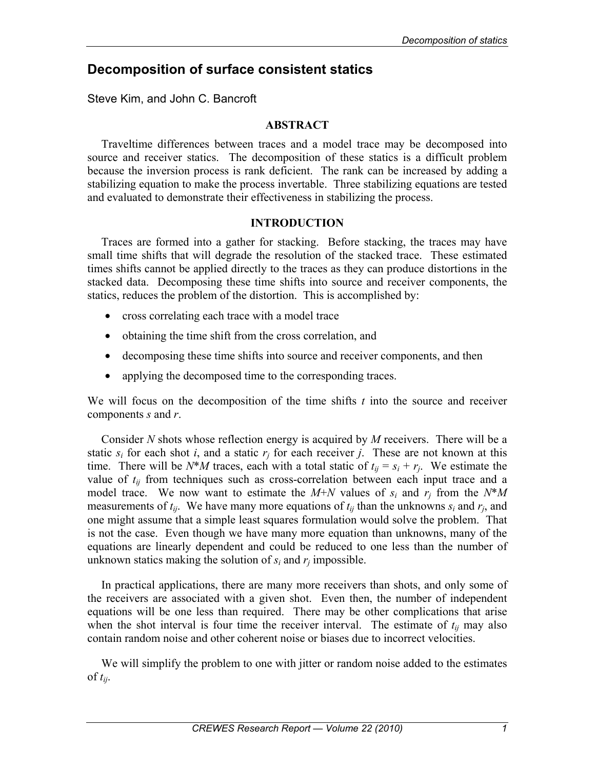# **Decomposition of surface consistent statics**

Steve Kim, and John C. Bancroft

# **ABSTRACT**

Traveltime differences between traces and a model trace may be decomposed into source and receiver statics. The decomposition of these statics is a difficult problem because the inversion process is rank deficient. The rank can be increased by adding a stabilizing equation to make the process invertable. Three stabilizing equations are tested and evaluated to demonstrate their effectiveness in stabilizing the process.

## **INTRODUCTION**

Traces are formed into a gather for stacking. Before stacking, the traces may have small time shifts that will degrade the resolution of the stacked trace. These estimated times shifts cannot be applied directly to the traces as they can produce distortions in the stacked data. Decomposing these time shifts into source and receiver components, the statics, reduces the problem of the distortion. This is accomplished by:

- cross correlating each trace with a model trace
- obtaining the time shift from the cross correlation, and
- decomposing these time shifts into source and receiver components, and then
- applying the decomposed time to the corresponding traces.

We will focus on the decomposition of the time shifts *t* into the source and receiver components *s* and *r*.

Consider *N* shots whose reflection energy is acquired by *M* receivers. There will be a static  $s_i$  for each shot *i*, and a static  $r_i$  for each receiver *j*. These are not known at this time. There will be  $N^*M$  traces, each with a total static of  $t_{ij} = s_i + r_j$ . We estimate the value of *tij* from techniques such as cross-correlation between each input trace and a model trace. We now want to estimate the  $M+N$  values of  $s_i$  and  $r_j$  from the  $N^*M$ measurements of  $t_{ij}$ . We have many more equations of  $t_{ij}$  than the unknowns  $s_i$  and  $r_i$ , and one might assume that a simple least squares formulation would solve the problem. That is not the case. Even though we have many more equation than unknowns, many of the equations are linearly dependent and could be reduced to one less than the number of unknown statics making the solution of  $s_i$  and  $r_j$  impossible.

In practical applications, there are many more receivers than shots, and only some of the receivers are associated with a given shot. Even then, the number of independent equations will be one less than required. There may be other complications that arise when the shot interval is four time the receiver interval. The estimate of  $t_{ij}$  may also contain random noise and other coherent noise or biases due to incorrect velocities.

We will simplify the problem to one with jitter or random noise added to the estimates of *tij*.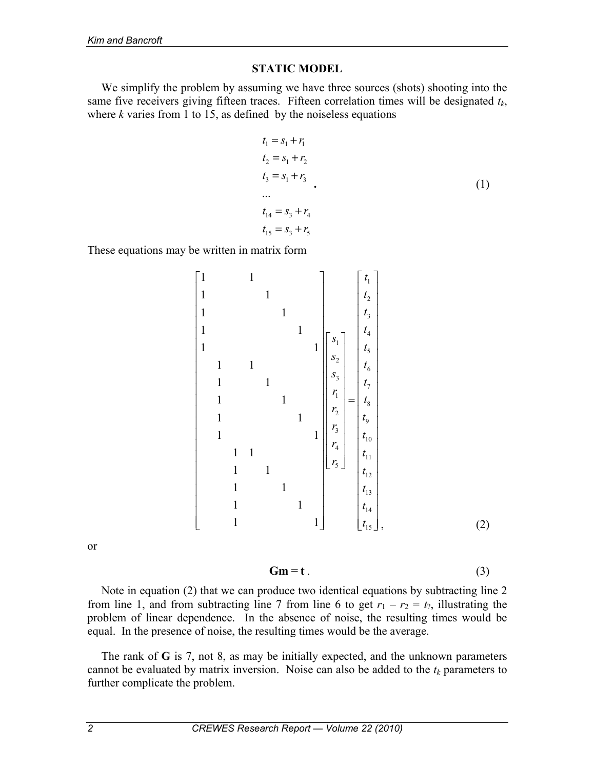## **STATIC MODEL**

We simplify the problem by assuming we have three sources (shots) shooting into the same five receivers giving fifteen traces. Fifteen correlation times will be designated *tk*, where  $k$  varies from 1 to 15, as defined by the noiseless equations

$$
t_{1} = s_{1} + r_{1}
$$
\n
$$
t_{2} = s_{1} + r_{2}
$$
\n
$$
t_{3} = s_{1} + r_{3}
$$
\n
$$
\dots
$$
\n
$$
t_{14} = s_{3} + r_{4}
$$
\n
$$
t_{15} = s_{3} + r_{5}
$$
\n(1)

These equations may be written in matrix form

1 2 3 4 1 5 2 6 3 7 1 8 2 9 3 10 4 11 5 12 13 14 15 1 1 1 1 1 1 1 1 1 1 1 1 1 1 1 1 1 1 1 1 1 1 1 1 1 1 1 1 1 1 *t t t t s t s t s t r t r t r t r t r t t t t* = , (2)

or

$$
Gm = t \tag{3}
$$

Note in equation (2) that we can produce two identical equations by subtracting line 2 from line 1, and from subtracting line 7 from line 6 to get  $r_1 - r_2 = t_2$ , illustrating the problem of linear dependence. In the absence of noise, the resulting times would be equal. In the presence of noise, the resulting times would be the average.

The rank of **G** is 7, not 8, as may be initially expected, and the unknown parameters cannot be evaluated by matrix inversion. Noise can also be added to the  $t_k$  parameters to further complicate the problem.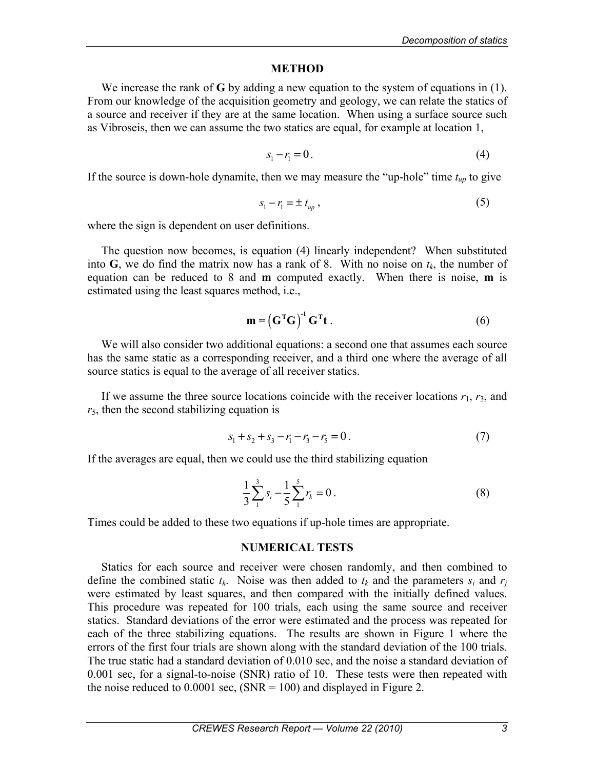#### **METHOD**

We increase the rank of **G** by adding a new equation to the system of equations in (1). From our knowledge of the acquisition geometry and geology, we can relate the statics of a source and receiver if they are at the same location. When using a surface source such as Vibroseis, then we can assume the two statics are equal, for example at location 1,

$$
s_1 - r_1 = 0. \tag{4}
$$

If the source is down-hole dynamite, then we may measure the "up-hole" time  $t_{up}$  to give

$$
s_1 - r_1 = \pm t_{up},\tag{5}
$$

where the sign is dependent on user definitions.

The question now becomes, is equation (4) linearly independent? When substituted into **G**, we do find the matrix now has a rank of 8. With no noise on  $t_k$ , the number of equation can be reduced to 8 and **m** computed exactly. When there is noise, **m** is estimated using the least squares method, i.e.,

$$
\mathbf{m} = \left(\mathbf{G}^{\mathrm{T}}\mathbf{G}\right)^{-1}\mathbf{G}^{\mathrm{T}}\mathbf{t} \,. \tag{6}
$$

We will also consider two additional equations: a second one that assumes each source has the same static as a corresponding receiver, and a third one where the average of all source statics is equal to the average of all receiver statics.

If we assume the three source locations coincide with the receiver locations *r*1, *r*3, and *r*5, then the second stabilizing equation is

$$
s_1 + s_2 + s_3 - r_1 - r_3 - r_5 = 0.
$$
 (7)

If the averages are equal, then we could use the third stabilizing equation

$$
\frac{1}{3}\sum_{1}^{3} s_i - \frac{1}{5}\sum_{1}^{5} r_k = 0.
$$
 (8)

Times could be added to these two equations if up-hole times are appropriate.

#### **NUMERICAL TESTS**

Statics for each source and receiver were chosen randomly, and then combined to define the combined static  $t_k$ . Noise was then added to  $t_k$  and the parameters  $s_i$  and  $r_j$ were estimated by least squares, and then compared with the initially defined values. This procedure was repeated for 100 trials, each using the same source and receiver statics. Standard deviations of the error were estimated and the process was repeated for each of the three stabilizing equations. The results are shown in Figure 1 where the errors of the first four trials are shown along with the standard deviation of the 100 trials. The true static had a standard deviation of 0.010 sec, and the noise a standard deviation of 0.001 sec, for a signal-to-noise (SNR) ratio of 10. These tests were then repeated with the noise reduced to  $0.0001$  sec,  $(NR = 100)$  and displayed in Figure 2.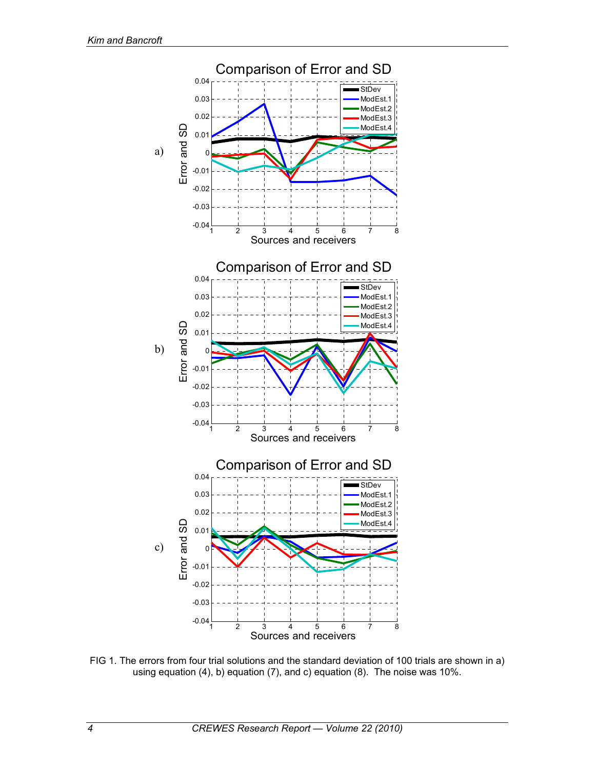

FIG 1. The errors from four trial solutions and the standard deviation of 100 trials are shown in a) using equation (4), b) equation (7), and c) equation (8). The noise was 10%.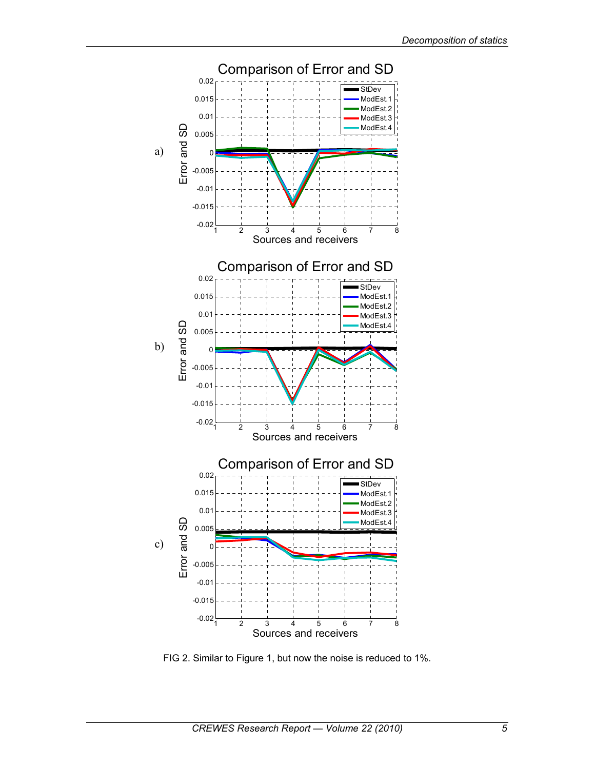

FIG 2. Similar to Figure 1, but now the noise is reduced to 1%.